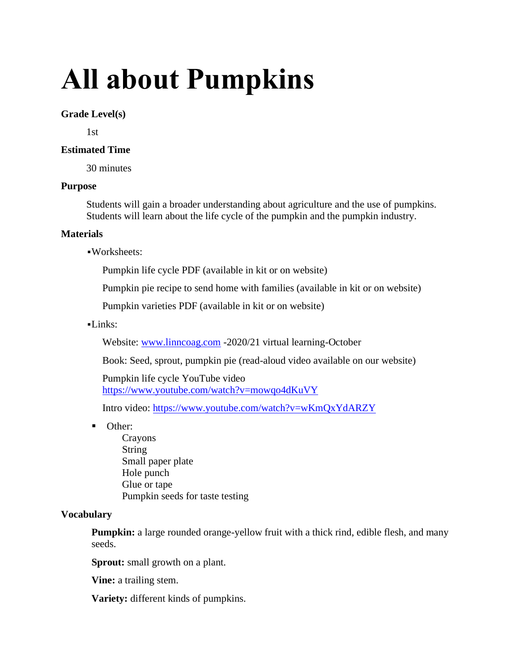# **All about Pumpkins**

### **Grade Level(s)**

1st

## **Estimated Time**

30 minutes

## **Purpose**

Students will gain a broader understanding about agriculture and the use of pumpkins. Students will learn about the life cycle of the pumpkin and the pumpkin industry.

## **Materials**

▪Worksheets:

Pumpkin life cycle PDF (available in kit or on website)

Pumpkin pie recipe to send home with families (available in kit or on website)

Pumpkin varieties PDF (available in kit or on website)

## $-Links:$

Website: [www.linncoag.com](http://www.linncoag.com/) -2020/21 virtual learning-October

Book: Seed, sprout, pumpkin pie (read-aloud video available on our website)

Pumpkin life cycle YouTube video <https://www.youtube.com/watch?v=mowqo4dKuVY>

Intro video:<https://www.youtube.com/watch?v=wKmQxYdARZY>

■ Other:

Crayons String Small paper plate Hole punch Glue or tape Pumpkin seeds for taste testing

# **Vocabulary**

**Pumpkin:** a large rounded orange-yellow fruit with a thick rind, edible flesh, and many seeds.

**Sprout:** small growth on a plant.

**Vine:** a trailing stem.

**Variety:** different kinds of pumpkins.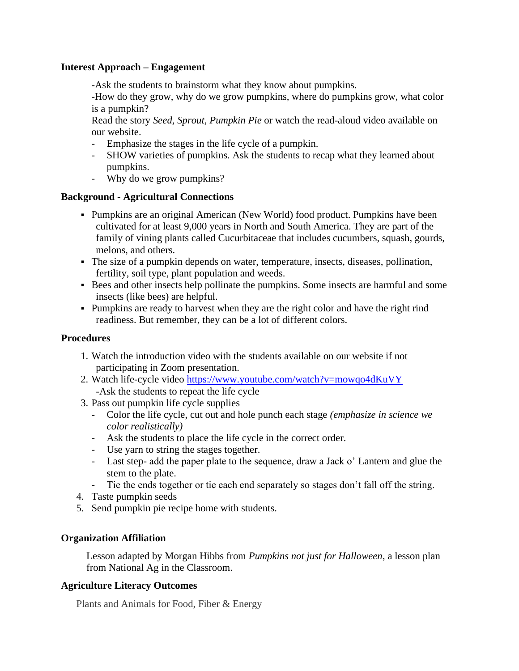#### **Interest Approach – Engagement**

-Ask the students to brainstorm what they know about pumpkins.

-How do they grow, why do we grow pumpkins, where do pumpkins grow, what color is a pumpkin?

Read the story *Seed, Sprout, Pumpkin Pie* or watch the read-aloud video available on our website.

- Emphasize the stages in the life cycle of a pumpkin.
- SHOW varieties of pumpkins. Ask the students to recap what they learned about pumpkins.
- Why do we grow pumpkins?

#### **Background - Agricultural Connections**

- Pumpkins are an original American (New World) food product. Pumpkins have been cultivated for at least 9,000 years in North and South America. They are part of the family of vining plants called Cucurbitaceae that includes cucumbers, squash, gourds, melons, and others.
- The size of a pumpkin depends on water, temperature, insects, diseases, pollination, fertility, soil type, plant population and weeds.
- Bees and other insects help pollinate the pumpkins. Some insects are harmful and some insects (like bees) are helpful.
- Pumpkins are ready to harvest when they are the right color and have the right rind readiness. But remember, they can be a lot of different colors.

#### **Procedures**

- 1. Watch the introduction video with the students available on our website if not participating in Zoom presentation.
- 2. Watch life-cycle video<https://www.youtube.com/watch?v=mowqo4dKuVY> -Ask the students to repeat the life cycle
- 3. Pass out pumpkin life cycle supplies
	- Color the life cycle, cut out and hole punch each stage *(emphasize in science we color realistically)*
	- Ask the students to place the life cycle in the correct order.
	- Use yarn to string the stages together.
	- Last step- add the paper plate to the sequence, draw a Jack o' Lantern and glue the stem to the plate.
	- Tie the ends together or tie each end separately so stages don't fall off the string.
- 4. Taste pumpkin seeds
- 5. Send pumpkin pie recipe home with students.

#### **Organization Affiliation**

Lesson adapted by Morgan Hibbs from *Pumpkins not just for Halloween*, a lesson plan from National Ag in the Classroom.

#### **Agriculture Literacy Outcomes**

Plants and Animals for Food, Fiber & Energy